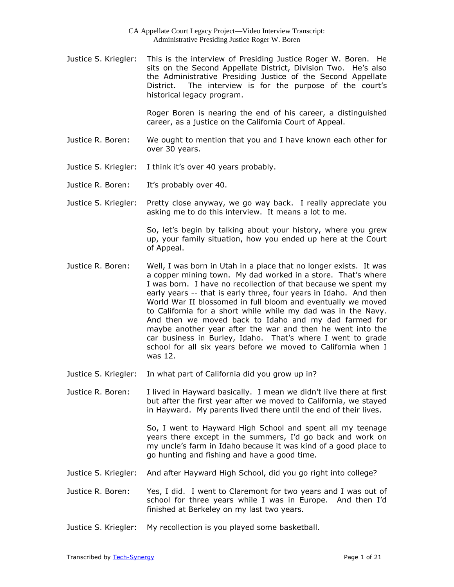Justice S. Kriegler: This is the interview of Presiding Justice Roger W. Boren. He sits on the Second Appellate District, Division Two. He's also the Administrative Presiding Justice of the Second Appellate District. The interview is for the purpose of the court's historical legacy program.

> Roger Boren is nearing the end of his career, a distinguished career, as a justice on the California Court of Appeal.

- Justice R. Boren: We ought to mention that you and I have known each other for over 30 years.
- Justice S. Kriegler: I think it's over 40 years probably.
- Justice R. Boren: It's probably over 40.
- Justice S. Kriegler: Pretty close anyway, we go way back. I really appreciate you asking me to do this interview. It means a lot to me.

So, let's begin by talking about your history, where you grew up, your family situation, how you ended up here at the Court of Appeal.

- Justice R. Boren: Well, I was born in Utah in a place that no longer exists. It was a copper mining town. My dad worked in a store. That's where I was born. I have no recollection of that because we spent my early years -- that is early three, four years in Idaho. And then World War II blossomed in full bloom and eventually we moved to California for a short while while my dad was in the Navy. And then we moved back to Idaho and my dad farmed for maybe another year after the war and then he went into the car business in Burley, Idaho. That's where I went to grade school for all six years before we moved to California when I was 12.
- Justice S. Kriegler: In what part of California did you grow up in?

Justice R. Boren: I lived in Hayward basically. I mean we didn't live there at first but after the first year after we moved to California, we stayed in Hayward. My parents lived there until the end of their lives.

> So, I went to Hayward High School and spent all my teenage years there except in the summers, I'd go back and work on my uncle's farm in Idaho because it was kind of a good place to go hunting and fishing and have a good time.

- Justice S. Kriegler: And after Hayward High School, did you go right into college?
- Justice R. Boren: Yes, I did. I went to Claremont for two years and I was out of school for three years while I was in Europe. And then I'd finished at Berkeley on my last two years.
- Justice S. Kriegler: My recollection is you played some basketball.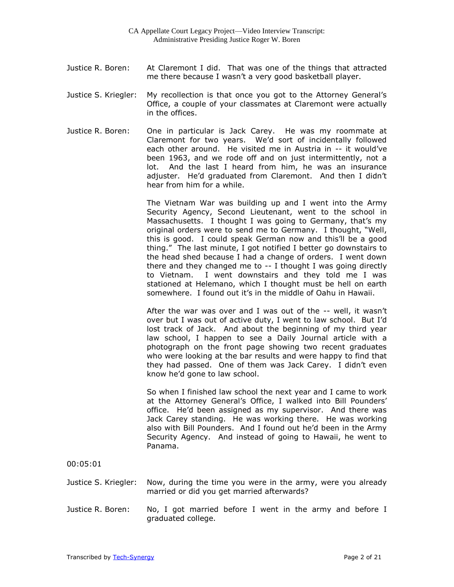- Justice R. Boren: At Claremont I did. That was one of the things that attracted me there because I wasn't a very good basketball player.
- Justice S. Kriegler: My recollection is that once you got to the Attorney General's Office, a couple of your classmates at Claremont were actually in the offices.
- Justice R. Boren: One in particular is Jack Carey. He was my roommate at Claremont for two years. We'd sort of incidentally followed each other around. He visited me in Austria in -- it would've been 1963, and we rode off and on just intermittently, not a lot. And the last I heard from him, he was an insurance adjuster. He'd graduated from Claremont. And then I didn't hear from him for a while.

The Vietnam War was building up and I went into the Army Security Agency, Second Lieutenant, went to the school in Massachusetts. I thought I was going to Germany, that's my original orders were to send me to Germany. I thought, "Well, this is good. I could speak German now and this'll be a good thing." The last minute, I got notified I better go downstairs to the head shed because I had a change of orders. I went down there and they changed me to -- I thought I was going directly to Vietnam. I went downstairs and they told me I was stationed at Helemano, which I thought must be hell on earth somewhere. I found out it's in the middle of Oahu in Hawaii.

After the war was over and I was out of the -- well, it wasn't over but I was out of active duty, I went to law school. But I'd lost track of Jack. And about the beginning of my third year law school, I happen to see a Daily Journal article with a photograph on the front page showing two recent graduates who were looking at the bar results and were happy to find that they had passed. One of them was Jack Carey. I didn't even know he'd gone to law school.

So when I finished law school the next year and I came to work at the Attorney General's Office, I walked into Bill Pounders' office. He'd been assigned as my supervisor. And there was Jack Carey standing. He was working there. He was working also with Bill Pounders. And I found out he'd been in the Army Security Agency. And instead of going to Hawaii, he went to Panama.

00:05:01

- Justice S. Kriegler: Now, during the time you were in the army, were you already married or did you get married afterwards?
- Justice R. Boren: No, I got married before I went in the army and before I graduated college.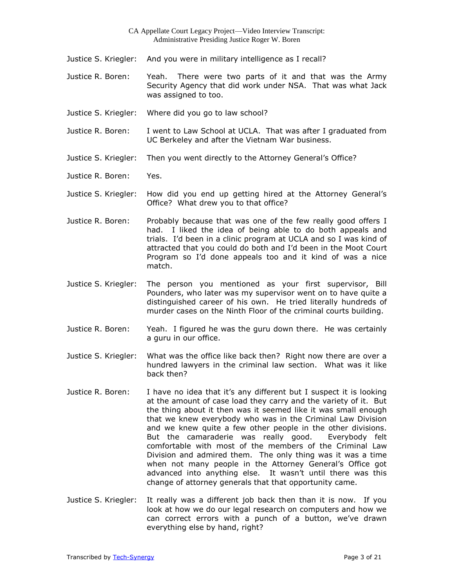- Justice S. Kriegler: And you were in military intelligence as I recall?
- Justice R. Boren: Yeah. There were two parts of it and that was the Army Security Agency that did work under NSA. That was what Jack was assigned to too.
- Justice S. Kriegler: Where did you go to law school?
- Justice R. Boren: I went to Law School at UCLA. That was after I graduated from UC Berkeley and after the Vietnam War business.
- Justice S. Kriegler: Then you went directly to the Attorney General's Office?
- Justice R. Boren: Yes.
- Justice S. Kriegler: How did you end up getting hired at the Attorney General's Office? What drew you to that office?
- Justice R. Boren: Probably because that was one of the few really good offers I had. I liked the idea of being able to do both appeals and trials. I'd been in a clinic program at UCLA and so I was kind of attracted that you could do both and I'd been in the Moot Court Program so I'd done appeals too and it kind of was a nice match.
- Justice S. Kriegler: The person you mentioned as your first supervisor, Bill Pounders, who later was my supervisor went on to have quite a distinguished career of his own. He tried literally hundreds of murder cases on the Ninth Floor of the criminal courts building.
- Justice R. Boren: Yeah. I figured he was the guru down there. He was certainly a guru in our office.
- Justice S. Kriegler: What was the office like back then? Right now there are over a hundred lawyers in the criminal law section. What was it like back then?
- Justice R. Boren: I have no idea that it's any different but I suspect it is looking at the amount of case load they carry and the variety of it. But the thing about it then was it seemed like it was small enough that we knew everybody who was in the Criminal Law Division and we knew quite a few other people in the other divisions. But the camaraderie was really good. Everybody felt comfortable with most of the members of the Criminal Law Division and admired them. The only thing was it was a time when not many people in the Attorney General's Office got advanced into anything else. It wasn't until there was this change of attorney generals that that opportunity came.
- Justice S. Kriegler: It really was a different job back then than it is now. If you look at how we do our legal research on computers and how we can correct errors with a punch of a button, we've drawn everything else by hand, right?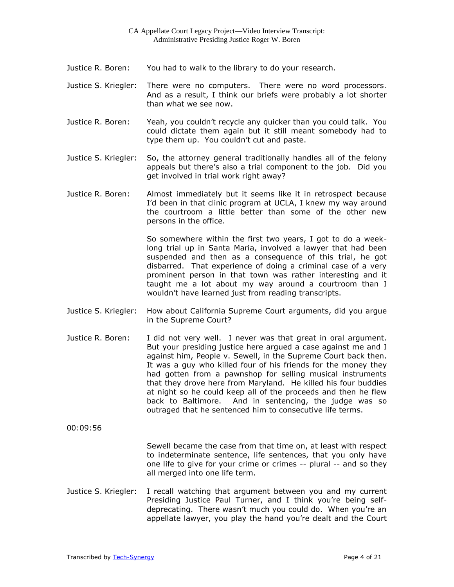- Justice R. Boren: You had to walk to the library to do your research.
- Justice S. Kriegler: There were no computers. There were no word processors. And as a result, I think our briefs were probably a lot shorter than what we see now.
- Justice R. Boren: Yeah, you couldn't recycle any quicker than you could talk. You could dictate them again but it still meant somebody had to type them up. You couldn't cut and paste.
- Justice S. Kriegler: So, the attorney general traditionally handles all of the felony appeals but there's also a trial component to the job. Did you get involved in trial work right away?
- Justice R. Boren: Almost immediately but it seems like it in retrospect because I'd been in that clinic program at UCLA, I knew my way around the courtroom a little better than some of the other new persons in the office.

So somewhere within the first two years, I got to do a weeklong trial up in Santa Maria, involved a lawyer that had been suspended and then as a consequence of this trial, he got disbarred. That experience of doing a criminal case of a very prominent person in that town was rather interesting and it taught me a lot about my way around a courtroom than I wouldn't have learned just from reading transcripts.

- Justice S. Kriegler: How about California Supreme Court arguments, did you argue in the Supreme Court?
- Justice R. Boren: I did not very well. I never was that great in oral argument. But your presiding justice here argued a case against me and I against him, People v. Sewell, in the Supreme Court back then. It was a guy who killed four of his friends for the money they had gotten from a pawnshop for selling musical instruments that they drove here from Maryland. He killed his four buddies at night so he could keep all of the proceeds and then he flew back to Baltimore. And in sentencing, the judge was so outraged that he sentenced him to consecutive life terms.

00:09:56

Sewell became the case from that time on, at least with respect to indeterminate sentence, life sentences, that you only have one life to give for your crime or crimes -- plural -- and so they all merged into one life term.

Justice S. Kriegler: I recall watching that argument between you and my current Presiding Justice Paul Turner, and I think you're being selfdeprecating. There wasn't much you could do. When you're an appellate lawyer, you play the hand you're dealt and the Court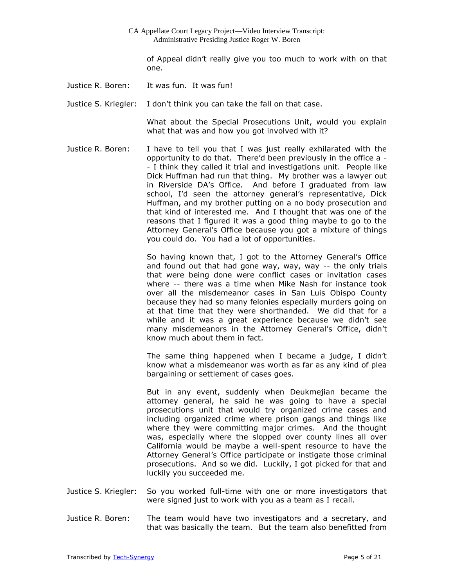of Appeal didn't really give you too much to work with on that one.

Justice R. Boren: It was fun. It was fun!

Justice S. Kriegler: I don't think you can take the fall on that case.

What about the Special Prosecutions Unit, would you explain what that was and how you got involved with it?

Justice R. Boren: I have to tell you that I was just really exhilarated with the opportunity to do that. There'd been previously in the office a - - I think they called it trial and investigations unit. People like Dick Huffman had run that thing. My brother was a lawyer out in Riverside DA's Office. And before I graduated from law school, I'd seen the attorney general's representative, Dick Huffman, and my brother putting on a no body prosecution and that kind of interested me. And I thought that was one of the reasons that I figured it was a good thing maybe to go to the Attorney General's Office because you got a mixture of things you could do. You had a lot of opportunities.

> So having known that, I got to the Attorney General's Office and found out that had gone way, way, way -- the only trials that were being done were conflict cases or invitation cases where -- there was a time when Mike Nash for instance took over all the misdemeanor cases in San Luis Obispo County because they had so many felonies especially murders going on at that time that they were shorthanded. We did that for a while and it was a great experience because we didn't see many misdemeanors in the Attorney General's Office, didn't know much about them in fact.

> The same thing happened when I became a judge, I didn't know what a misdemeanor was worth as far as any kind of plea bargaining or settlement of cases goes.

> But in any event, suddenly when Deukmejian became the attorney general, he said he was going to have a special prosecutions unit that would try organized crime cases and including organized crime where prison gangs and things like where they were committing major crimes. And the thought was, especially where the slopped over county lines all over California would be maybe a well-spent resource to have the Attorney General's Office participate or instigate those criminal prosecutions. And so we did. Luckily, I got picked for that and luckily you succeeded me.

- Justice S. Kriegler: So you worked full-time with one or more investigators that were signed just to work with you as a team as I recall.
- Justice R. Boren: The team would have two investigators and a secretary, and that was basically the team. But the team also benefitted from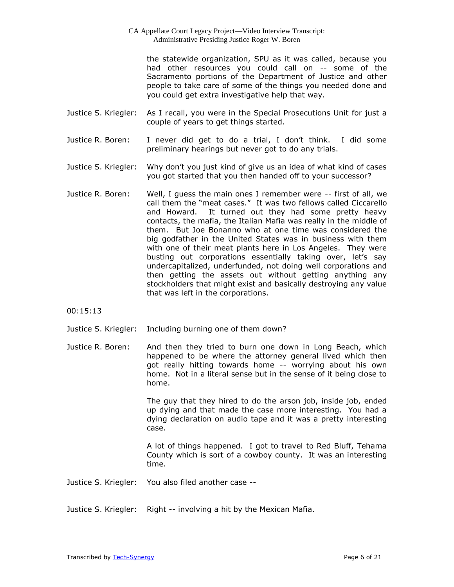the statewide organization, SPU as it was called, because you had other resources you could call on -- some of the Sacramento portions of the Department of Justice and other people to take care of some of the things you needed done and you could get extra investigative help that way.

- Justice S. Kriegler: As I recall, you were in the Special Prosecutions Unit for just a couple of years to get things started.
- Justice R. Boren: I never did get to do a trial, I don't think. I did some preliminary hearings but never got to do any trials.
- Justice S. Kriegler: Why don't you just kind of give us an idea of what kind of cases you got started that you then handed off to your successor?
- Justice R. Boren: Well, I guess the main ones I remember were -- first of all, we call them the "meat cases." It was two fellows called Ciccarello and Howard. It turned out they had some pretty heavy contacts, the mafia, the Italian Mafia was really in the middle of them. But Joe Bonanno who at one time was considered the big godfather in the United States was in business with them with one of their meat plants here in Los Angeles. They were busting out corporations essentially taking over, let's say undercapitalized, underfunded, not doing well corporations and then getting the assets out without getting anything any stockholders that might exist and basically destroying any value that was left in the corporations.

00:15:13

- Justice S. Kriegler: Including burning one of them down?
- Justice R. Boren: And then they tried to burn one down in Long Beach, which happened to be where the attorney general lived which then got really hitting towards home -- worrying about his own home. Not in a literal sense but in the sense of it being close to home.

The guy that they hired to do the arson job, inside job, ended up dying and that made the case more interesting. You had a dying declaration on audio tape and it was a pretty interesting case.

A lot of things happened. I got to travel to Red Bluff, Tehama County which is sort of a cowboy county. It was an interesting time.

- Justice S. Kriegler: You also filed another case --
- Justice S. Kriegler: Right -- involving a hit by the Mexican Mafia.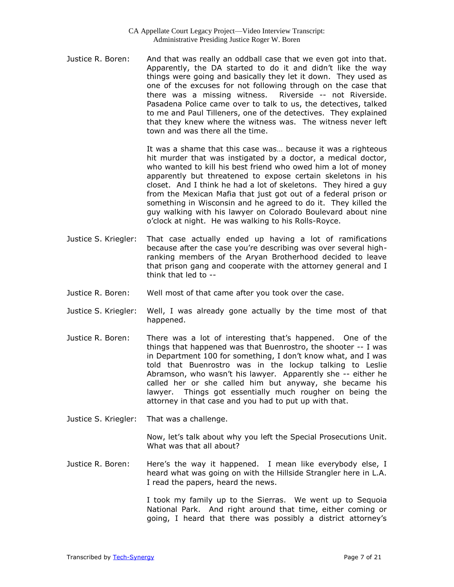Justice R. Boren: And that was really an oddball case that we even got into that. Apparently, the DA started to do it and didn't like the way things were going and basically they let it down. They used as one of the excuses for not following through on the case that there was a missing witness. Riverside -- not Riverside. Pasadena Police came over to talk to us, the detectives, talked to me and Paul Tilleners, one of the detectives. They explained that they knew where the witness was. The witness never left town and was there all the time.

> It was a shame that this case was… because it was a righteous hit murder that was instigated by a doctor, a medical doctor, who wanted to kill his best friend who owed him a lot of money apparently but threatened to expose certain skeletons in his closet. And I think he had a lot of skeletons. They hired a guy from the Mexican Mafia that just got out of a federal prison or something in Wisconsin and he agreed to do it. They killed the guy walking with his lawyer on Colorado Boulevard about nine o'clock at night. He was walking to his Rolls-Royce.

- Justice S. Kriegler: That case actually ended up having a lot of ramifications because after the case you're describing was over several highranking members of the Aryan Brotherhood decided to leave that prison gang and cooperate with the attorney general and I think that led to --
- Justice R. Boren: Well most of that came after you took over the case.
- Justice S. Kriegler: Well, I was already gone actually by the time most of that happened.
- Justice R. Boren: There was a lot of interesting that's happened. One of the things that happened was that Buenrostro, the shooter -- I was in Department 100 for something, I don't know what, and I was told that Buenrostro was in the lockup talking to Leslie Abramson, who wasn't his lawyer. Apparently she -- either he called her or she called him but anyway, she became his lawyer. Things got essentially much rougher on being the attorney in that case and you had to put up with that.
- Justice S. Kriegler: That was a challenge.

Now, let's talk about why you left the Special Prosecutions Unit. What was that all about?

Justice R. Boren: Here's the way it happened. I mean like everybody else, I heard what was going on with the Hillside Strangler here in L.A. I read the papers, heard the news.

> I took my family up to the Sierras. We went up to Sequoia National Park. And right around that time, either coming or going, I heard that there was possibly a district attorney's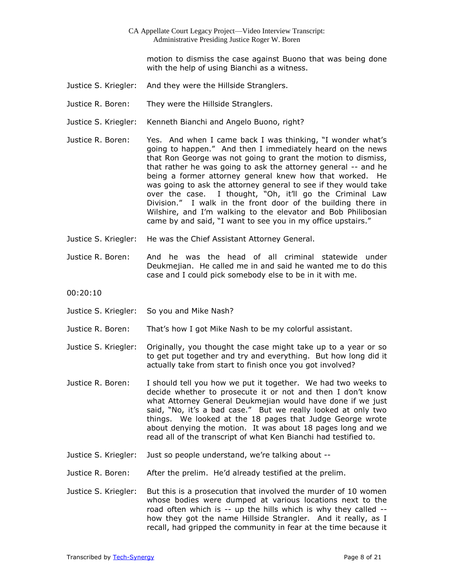motion to dismiss the case against Buono that was being done with the help of using Bianchi as a witness.

- Justice S. Kriegler: And they were the Hillside Stranglers.
- Justice R. Boren: They were the Hillside Stranglers.
- Justice S. Kriegler: Kenneth Bianchi and Angelo Buono, right?
- Justice R. Boren: Yes. And when I came back I was thinking, "I wonder what's going to happen." And then I immediately heard on the news that Ron George was not going to grant the motion to dismiss, that rather he was going to ask the attorney general -- and he being a former attorney general knew how that worked. He was going to ask the attorney general to see if they would take over the case. I thought, "Oh, it'll go the Criminal Law Division." I walk in the front door of the building there in Wilshire, and I'm walking to the elevator and Bob Philibosian came by and said, "I want to see you in my office upstairs."
- Justice S. Kriegler: He was the Chief Assistant Attorney General.
- Justice R. Boren: And he was the head of all criminal statewide under Deukmejian. He called me in and said he wanted me to do this case and I could pick somebody else to be in it with me.
- 00:20:10
- Justice S. Kriegler: So you and Mike Nash?
- Justice R. Boren: That's how I got Mike Nash to be my colorful assistant.
- Justice S. Kriegler: Originally, you thought the case might take up to a year or so to get put together and try and everything. But how long did it actually take from start to finish once you got involved?
- Justice R. Boren: I should tell you how we put it together. We had two weeks to decide whether to prosecute it or not and then I don't know what Attorney General Deukmejian would have done if we just said, "No, it's a bad case." But we really looked at only two things. We looked at the 18 pages that Judge George wrote about denying the motion. It was about 18 pages long and we read all of the transcript of what Ken Bianchi had testified to.
- Justice S. Kriegler: Just so people understand, we're talking about --
- Justice R. Boren: After the prelim. He'd already testified at the prelim.
- Justice S. Kriegler: But this is a prosecution that involved the murder of 10 women whose bodies were dumped at various locations next to the road often which is -- up the hills which is why they called - how they got the name Hillside Strangler. And it really, as I recall, had gripped the community in fear at the time because it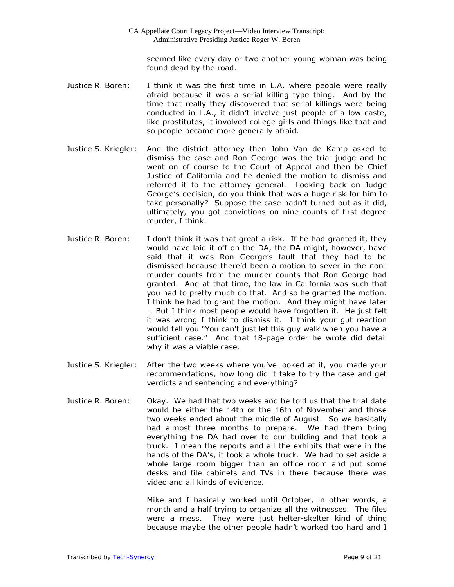seemed like every day or two another young woman was being found dead by the road.

- Justice R. Boren: I think it was the first time in L.A. where people were really afraid because it was a serial killing type thing. And by the time that really they discovered that serial killings were being conducted in L.A., it didn't involve just people of a low caste, like prostitutes, it involved college girls and things like that and so people became more generally afraid.
- Justice S. Kriegler: And the district attorney then John Van de Kamp asked to dismiss the case and Ron George was the trial judge and he went on of course to the Court of Appeal and then be Chief Justice of California and he denied the motion to dismiss and referred it to the attorney general. Looking back on Judge George's decision, do you think that was a huge risk for him to take personally? Suppose the case hadn't turned out as it did, ultimately, you got convictions on nine counts of first degree murder, I think.
- Justice R. Boren: I don't think it was that great a risk. If he had granted it, they would have laid it off on the DA, the DA might, however, have said that it was Ron George's fault that they had to be dismissed because there'd been a motion to sever in the nonmurder counts from the murder counts that Ron George had granted. And at that time, the law in California was such that you had to pretty much do that. And so he granted the motion. I think he had to grant the motion. And they might have later … But I think most people would have forgotten it. He just felt it was wrong I think to dismiss it. I think your gut reaction would tell you "You can't just let this guy walk when you have a sufficient case." And that 18-page order he wrote did detail why it was a viable case.
- Justice S. Kriegler: After the two weeks where you've looked at it, you made your recommendations, how long did it take to try the case and get verdicts and sentencing and everything?
- Justice R. Boren: Okay. We had that two weeks and he told us that the trial date would be either the 14th or the 16th of November and those two weeks ended about the middle of August. So we basically had almost three months to prepare. We had them bring everything the DA had over to our building and that took a truck. I mean the reports and all the exhibits that were in the hands of the DA's, it took a whole truck. We had to set aside a whole large room bigger than an office room and put some desks and file cabinets and TVs in there because there was video and all kinds of evidence.

Mike and I basically worked until October, in other words, a month and a half trying to organize all the witnesses. The files were a mess. They were just helter-skelter kind of thing because maybe the other people hadn't worked too hard and I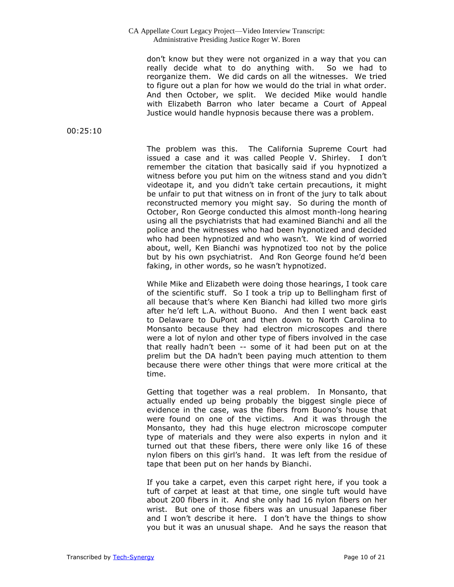don't know but they were not organized in a way that you can really decide what to do anything with. So we had to reorganize them. We did cards on all the witnesses. We tried to figure out a plan for how we would do the trial in what order. And then October, we split. We decided Mike would handle with Elizabeth Barron who later became a Court of Appeal Justice would handle hypnosis because there was a problem.

00:25:10

The problem was this. The California Supreme Court had issued a case and it was called People V. Shirley. I don't remember the citation that basically said if you hypnotized a witness before you put him on the witness stand and you didn't videotape it, and you didn't take certain precautions, it might be unfair to put that witness on in front of the jury to talk about reconstructed memory you might say. So during the month of October, Ron George conducted this almost month-long hearing using all the psychiatrists that had examined Bianchi and all the police and the witnesses who had been hypnotized and decided who had been hypnotized and who wasn't. We kind of worried about, well, Ken Bianchi was hypnotized too not by the police but by his own psychiatrist. And Ron George found he'd been faking, in other words, so he wasn't hypnotized.

While Mike and Elizabeth were doing those hearings, I took care of the scientific stuff. So I took a trip up to Bellingham first of all because that's where Ken Bianchi had killed two more girls after he'd left L.A. without Buono. And then I went back east to Delaware to DuPont and then down to North Carolina to Monsanto because they had electron microscopes and there were a lot of nylon and other type of fibers involved in the case that really hadn't been -- some of it had been put on at the prelim but the DA hadn't been paying much attention to them because there were other things that were more critical at the time.

Getting that together was a real problem. In Monsanto, that actually ended up being probably the biggest single piece of evidence in the case, was the fibers from Buono's house that were found on one of the victims. And it was through the Monsanto, they had this huge electron microscope computer type of materials and they were also experts in nylon and it turned out that these fibers, there were only like 16 of these nylon fibers on this girl's hand. It was left from the residue of tape that been put on her hands by Bianchi.

If you take a carpet, even this carpet right here, if you took a tuft of carpet at least at that time, one single tuft would have about 200 fibers in it. And she only had 16 nylon fibers on her wrist. But one of those fibers was an unusual Japanese fiber and I won't describe it here. I don't have the things to show you but it was an unusual shape. And he says the reason that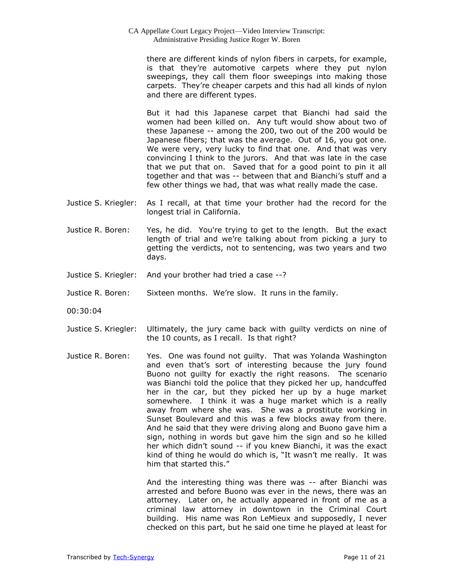there are different kinds of nylon fibers in carpets, for example, is that they're automotive carpets where they put nylon sweepings, they call them floor sweepings into making those carpets. They're cheaper carpets and this had all kinds of nylon and there are different types.

But it had this Japanese carpet that Bianchi had said the women had been killed on. Any tuft would show about two of these Japanese -- among the 200, two out of the 200 would be Japanese fibers; that was the average. Out of 16, you got one. We were very, very lucky to find that one. And that was very convincing I think to the jurors. And that was late in the case that we put that on. Saved that for a good point to pin it all together and that was -- between that and Bianchi's stuff and a few other things we had, that was what really made the case.

- Justice S. Kriegler: As I recall, at that time your brother had the record for the longest trial in California.
- Justice R. Boren: Yes, he did. You're trying to get to the length. But the exact length of trial and we're talking about from picking a jury to getting the verdicts, not to sentencing, was two years and two days.
- Justice S. Kriegler: And your brother had tried a case --?
- Justice R. Boren: Sixteen months. We're slow. It runs in the family.
- 00:30:04
- Justice S. Kriegler: Ultimately, the jury came back with guilty verdicts on nine of the 10 counts, as I recall. Is that right?
- Justice R. Boren: Yes. One was found not guilty. That was Yolanda Washington and even that's sort of interesting because the jury found Buono not guilty for exactly the right reasons. The scenario was Bianchi told the police that they picked her up, handcuffed her in the car, but they picked her up by a huge market somewhere. I think it was a huge market which is a really away from where she was. She was a prostitute working in Sunset Boulevard and this was a few blocks away from there. And he said that they were driving along and Buono gave him a sign, nothing in words but gave him the sign and so he killed her which didn't sound -- if you knew Bianchi, it was the exact kind of thing he would do which is, "It wasn't me really. It was him that started this."

And the interesting thing was there was -- after Bianchi was arrested and before Buono was ever in the news, there was an attorney. Later on, he actually appeared in front of me as a criminal law attorney in downtown in the Criminal Court building. His name was Ron LeMieux and supposedly, I never checked on this part, but he said one time he played at least for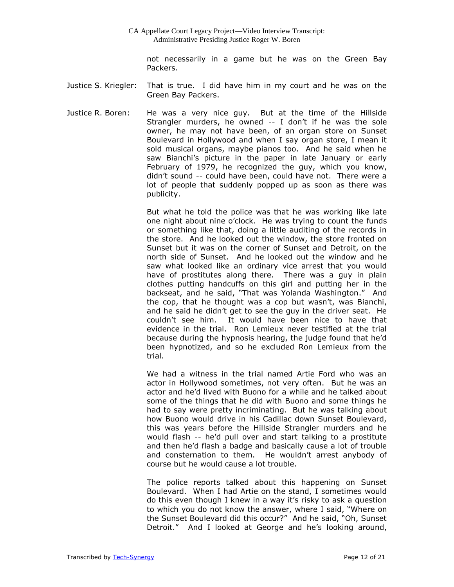not necessarily in a game but he was on the Green Bay Packers.

- Justice S. Kriegler: That is true. I did have him in my court and he was on the Green Bay Packers.
- Justice R. Boren: He was a very nice guy. But at the time of the Hillside Strangler murders, he owned -- I don't if he was the sole owner, he may not have been, of an organ store on Sunset Boulevard in Hollywood and when I say organ store, I mean it sold musical organs, maybe pianos too. And he said when he saw Bianchi's picture in the paper in late January or early February of 1979, he recognized the guy, which you know, didn't sound -- could have been, could have not. There were a lot of people that suddenly popped up as soon as there was publicity.

But what he told the police was that he was working like late one night about nine o'clock. He was trying to count the funds or something like that, doing a little auditing of the records in the store. And he looked out the window, the store fronted on Sunset but it was on the corner of Sunset and Detroit, on the north side of Sunset. And he looked out the window and he saw what looked like an ordinary vice arrest that you would have of prostitutes along there. There was a guy in plain clothes putting handcuffs on this girl and putting her in the backseat, and he said, "That was Yolanda Washington." And the cop, that he thought was a cop but wasn't, was Bianchi, and he said he didn't get to see the guy in the driver seat. He couldn't see him. It would have been nice to have that evidence in the trial. Ron Lemieux never testified at the trial because during the hypnosis hearing, the judge found that he'd been hypnotized, and so he excluded Ron Lemieux from the trial.

We had a witness in the trial named Artie Ford who was an actor in Hollywood sometimes, not very often. But he was an actor and he'd lived with Buono for a while and he talked about some of the things that he did with Buono and some things he had to say were pretty incriminating. But he was talking about how Buono would drive in his Cadillac down Sunset Boulevard, this was years before the Hillside Strangler murders and he would flash -- he'd pull over and start talking to a prostitute and then he'd flash a badge and basically cause a lot of trouble and consternation to them. He wouldn't arrest anybody of course but he would cause a lot trouble.

The police reports talked about this happening on Sunset Boulevard. When I had Artie on the stand, I sometimes would do this even though I knew in a way it's risky to ask a question to which you do not know the answer, where I said, "Where on the Sunset Boulevard did this occur?" And he said, "Oh, Sunset Detroit." And I looked at George and he's looking around,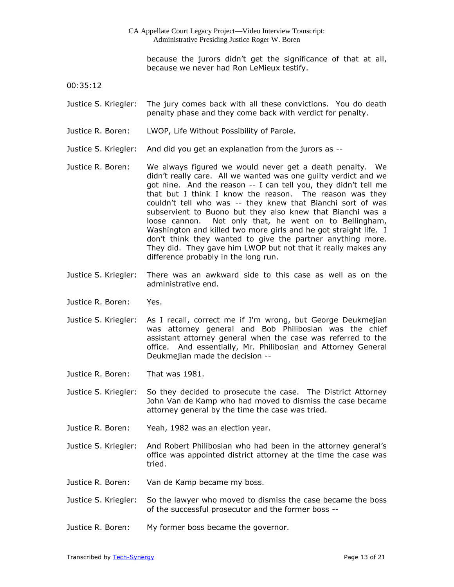because the jurors didn't get the significance of that at all, because we never had Ron LeMieux testify.

00:35:12

Justice S. Kriegler: The jury comes back with all these convictions. You do death penalty phase and they come back with verdict for penalty.

- Justice R. Boren: LWOP, Life Without Possibility of Parole.
- Justice S. Kriegler: And did you get an explanation from the jurors as --
- Justice R. Boren: We always figured we would never get a death penalty. We didn't really care. All we wanted was one guilty verdict and we got nine. And the reason -- I can tell you, they didn't tell me that but I think I know the reason. The reason was they couldn't tell who was -- they knew that Bianchi sort of was subservient to Buono but they also knew that Bianchi was a loose cannon. Not only that, he went on to Bellingham, Washington and killed two more girls and he got straight life. I don't think they wanted to give the partner anything more. They did. They gave him LWOP but not that it really makes any difference probably in the long run.
- Justice S. Kriegler: There was an awkward side to this case as well as on the administrative end.
- Justice R. Boren: Yes.
- Justice S. Kriegler: As I recall, correct me if I'm wrong, but George Deukmejian was attorney general and Bob Philibosian was the chief assistant attorney general when the case was referred to the office. And essentially, Mr. Philibosian and Attorney General Deukmejian made the decision --
- Justice R. Boren: That was 1981.
- Justice S. Kriegler: So they decided to prosecute the case. The District Attorney John Van de Kamp who had moved to dismiss the case became attorney general by the time the case was tried.
- Justice R. Boren: Yeah, 1982 was an election year.
- Justice S. Kriegler: And Robert Philibosian who had been in the attorney general's office was appointed district attorney at the time the case was tried.
- Justice R. Boren: Van de Kamp became my boss.
- Justice S. Kriegler: So the lawyer who moved to dismiss the case became the boss of the successful prosecutor and the former boss --
- Justice R. Boren: My former boss became the governor.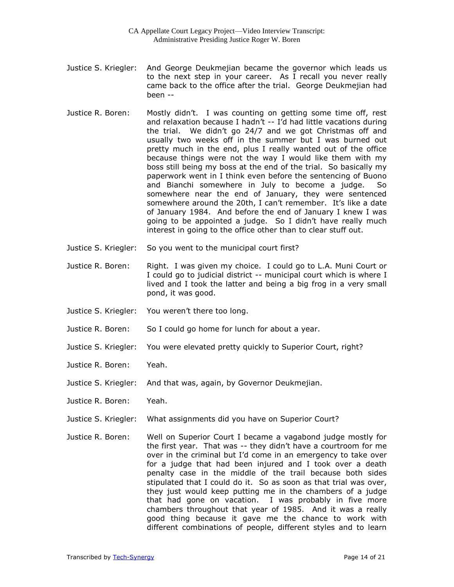- Justice S. Kriegler: And George Deukmejian became the governor which leads us to the next step in your career. As I recall you never really came back to the office after the trial. George Deukmejian had been --
- Justice R. Boren: Mostly didn't. I was counting on getting some time off, rest and relaxation because I hadn't -- I'd had little vacations during the trial. We didn't go 24/7 and we got Christmas off and usually two weeks off in the summer but I was burned out pretty much in the end, plus I really wanted out of the office because things were not the way I would like them with my boss still being my boss at the end of the trial. So basically my paperwork went in I think even before the sentencing of Buono and Bianchi somewhere in July to become a judge. So somewhere near the end of January, they were sentenced somewhere around the 20th, I can't remember. It's like a date of January 1984. And before the end of January I knew I was going to be appointed a judge. So I didn't have really much interest in going to the office other than to clear stuff out.
- Justice S. Kriegler: So you went to the municipal court first?
- Justice R. Boren: Right. I was given my choice. I could go to L.A. Muni Court or I could go to judicial district -- municipal court which is where I lived and I took the latter and being a big frog in a very small pond, it was good.
- Justice S. Kriegler: You weren't there too long.
- Justice R. Boren: So I could go home for lunch for about a year.
- Justice S. Kriegler: You were elevated pretty quickly to Superior Court, right?
- Justice R. Boren: Yeah.
- Justice S. Kriegler: And that was, again, by Governor Deukmejian.
- Justice R. Boren: Yeah.
- Justice S. Kriegler: What assignments did you have on Superior Court?
- Justice R. Boren: Well on Superior Court I became a vagabond judge mostly for the first year. That was -- they didn't have a courtroom for me over in the criminal but I'd come in an emergency to take over for a judge that had been injured and I took over a death penalty case in the middle of the trail because both sides stipulated that I could do it. So as soon as that trial was over, they just would keep putting me in the chambers of a judge that had gone on vacation. I was probably in five more chambers throughout that year of 1985. And it was a really good thing because it gave me the chance to work with different combinations of people, different styles and to learn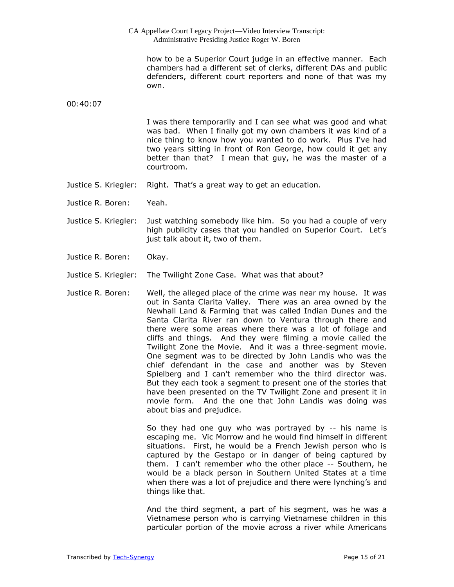| CA Appellate Court Legacy Project-Video Interview Transcript:<br>Administrative Presiding Justice Roger W. Boren |                                                                                                                                                                                                                                                                                                                                                                                                                                                                                                                                                                                                                                                                                                             |
|------------------------------------------------------------------------------------------------------------------|-------------------------------------------------------------------------------------------------------------------------------------------------------------------------------------------------------------------------------------------------------------------------------------------------------------------------------------------------------------------------------------------------------------------------------------------------------------------------------------------------------------------------------------------------------------------------------------------------------------------------------------------------------------------------------------------------------------|
|                                                                                                                  | how to be a Superior Court judge in an effective manner. Each<br>chambers had a different set of clerks, different DAs and public<br>defenders, different court reporters and none of that was my<br>own.                                                                                                                                                                                                                                                                                                                                                                                                                                                                                                   |
| 00:40:07                                                                                                         |                                                                                                                                                                                                                                                                                                                                                                                                                                                                                                                                                                                                                                                                                                             |
|                                                                                                                  | I was there temporarily and I can see what was good and what<br>was bad. When I finally got my own chambers it was kind of a<br>nice thing to know how you wanted to do work. Plus I've had<br>two years sitting in front of Ron George, how could it get any<br>better than that? I mean that guy, he was the master of a<br>courtroom.                                                                                                                                                                                                                                                                                                                                                                    |
| Justice S. Kriegler:                                                                                             | Right. That's a great way to get an education.                                                                                                                                                                                                                                                                                                                                                                                                                                                                                                                                                                                                                                                              |
| Justice R. Boren:                                                                                                | Yeah.                                                                                                                                                                                                                                                                                                                                                                                                                                                                                                                                                                                                                                                                                                       |
| Justice S. Kriegler:                                                                                             | Just watching somebody like him. So you had a couple of very<br>high publicity cases that you handled on Superior Court. Let's<br>just talk about it, two of them.                                                                                                                                                                                                                                                                                                                                                                                                                                                                                                                                          |
| Justice R. Boren:                                                                                                | Okay.                                                                                                                                                                                                                                                                                                                                                                                                                                                                                                                                                                                                                                                                                                       |
| Justice S. Kriegler:                                                                                             | The Twilight Zone Case. What was that about?                                                                                                                                                                                                                                                                                                                                                                                                                                                                                                                                                                                                                                                                |
| Justice R. Boren:                                                                                                | Well, the alleged place of the crime was near my house. It was<br>out in Santa Clarita Valley. There was an area owned by the<br>Newhall Land & Farming that was called Indian Dunes and the<br>Santa Clarita River ran down to Ventura through there and<br>there were some areas where there was a lot of foliage and<br>cliffs and things. And they were filming a movie called the<br>Twilight Zone the Movie. And it was a three-segment movie.<br>One segment was to be directed by John Landis who was the<br>chief defendant in the case and another was by Steven<br>Spielberg and I can't remember who the third director was.<br>But they each took a segment to present one of the stories that |

about bias and prejudice.

So they had one guy who was portrayed by -- his name is escaping me. Vic Morrow and he would find himself in different situations. First, he would be a French Jewish person who is captured by the Gestapo or in danger of being captured by them. I can't remember who the other place -- Southern, he would be a black person in Southern United States at a time when there was a lot of prejudice and there were lynching's and things like that.

have been presented on the TV Twilight Zone and present it in movie form. And the one that John Landis was doing was

And the third segment, a part of his segment, was he was a Vietnamese person who is carrying Vietnamese children in this particular portion of the movie across a river while Americans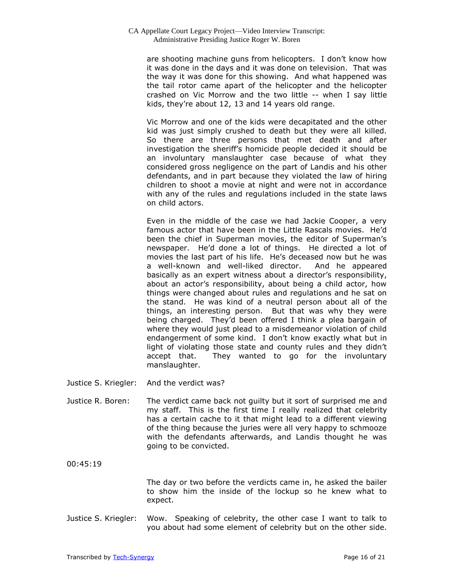are shooting machine guns from helicopters. I don't know how it was done in the days and it was done on television. That was the way it was done for this showing. And what happened was the tail rotor came apart of the helicopter and the helicopter crashed on Vic Morrow and the two little -- when I say little kids, they're about 12, 13 and 14 years old range.

Vic Morrow and one of the kids were decapitated and the other kid was just simply crushed to death but they were all killed. So there are three persons that met death and after investigation the sheriff's homicide people decided it should be an involuntary manslaughter case because of what they considered gross negligence on the part of Landis and his other defendants, and in part because they violated the law of hiring children to shoot a movie at night and were not in accordance with any of the rules and regulations included in the state laws on child actors.

Even in the middle of the case we had Jackie Cooper, a very famous actor that have been in the Little Rascals movies. He'd been the chief in Superman movies, the editor of Superman's newspaper. He'd done a lot of things. He directed a lot of movies the last part of his life. He's deceased now but he was a well-known and well-liked director. And he appeared basically as an expert witness about a director's responsibility, about an actor's responsibility, about being a child actor, how things were changed about rules and regulations and he sat on the stand. He was kind of a neutral person about all of the things, an interesting person. But that was why they were being charged. They'd been offered I think a plea bargain of where they would just plead to a misdemeanor violation of child endangerment of some kind. I don't know exactly what but in light of violating those state and county rules and they didn't accept that. They wanted to go for the involuntary manslaughter.

- Justice S. Kriegler: And the verdict was?
- Justice R. Boren: The verdict came back not guilty but it sort of surprised me and my staff. This is the first time I really realized that celebrity has a certain cache to it that might lead to a different viewing of the thing because the juries were all very happy to schmooze with the defendants afterwards, and Landis thought he was going to be convicted.

00:45:19

The day or two before the verdicts came in, he asked the bailer to show him the inside of the lockup so he knew what to expect.

Justice S. Kriegler: Wow. Speaking of celebrity, the other case I want to talk to you about had some element of celebrity but on the other side.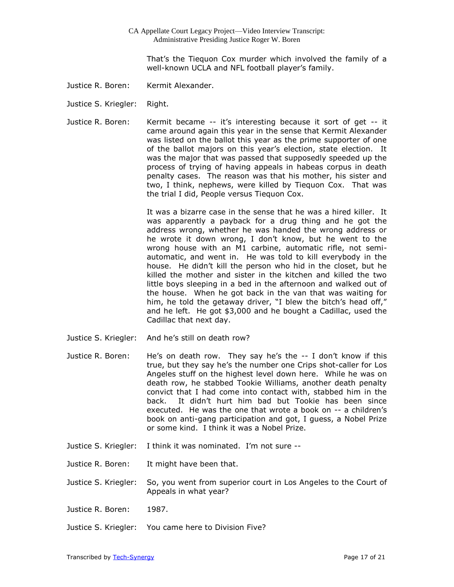That's the Tiequon Cox murder which involved the family of a well-known UCLA and NFL football player's family.

- Justice R. Boren: Kermit Alexander.
- Justice S. Kriegler: Right.
- Justice R. Boren: Kermit became -- it's interesting because it sort of get -- it came around again this year in the sense that Kermit Alexander was listed on the ballot this year as the prime supporter of one of the ballot majors on this year's election, state election. It was the major that was passed that supposedly speeded up the process of trying of having appeals in habeas corpus in death penalty cases. The reason was that his mother, his sister and two, I think, nephews, were killed by Tiequon Cox. That was the trial I did, People versus Tiequon Cox.

It was a bizarre case in the sense that he was a hired killer. It was apparently a payback for a drug thing and he got the address wrong, whether he was handed the wrong address or he wrote it down wrong, I don't know, but he went to the wrong house with an M1 carbine, automatic rifle, not semiautomatic, and went in. He was told to kill everybody in the house. He didn't kill the person who hid in the closet, but he killed the mother and sister in the kitchen and killed the two little boys sleeping in a bed in the afternoon and walked out of the house. When he got back in the van that was waiting for him, he told the getaway driver, "I blew the bitch's head off," and he left. He got \$3,000 and he bought a Cadillac, used the Cadillac that next day.

- Justice S. Kriegler: And he's still on death row?
- Justice R. Boren: He's on death row. They say he's the -- I don't know if this true, but they say he's the number one Crips shot-caller for Los Angeles stuff on the highest level down here. While he was on death row, he stabbed Tookie Williams, another death penalty convict that I had come into contact with, stabbed him in the back. It didn't hurt him bad but Tookie has been since executed. He was the one that wrote a book on -- a children's book on anti-gang participation and got, I guess, a Nobel Prize or some kind. I think it was a Nobel Prize.
- Justice S. Kriegler: I think it was nominated. I'm not sure --
- Justice R. Boren: It might have been that.
- Justice S. Kriegler: So, you went from superior court in Los Angeles to the Court of Appeals in what year?
- Justice R. Boren: 1987.
- Justice S. Kriegler: You came here to Division Five?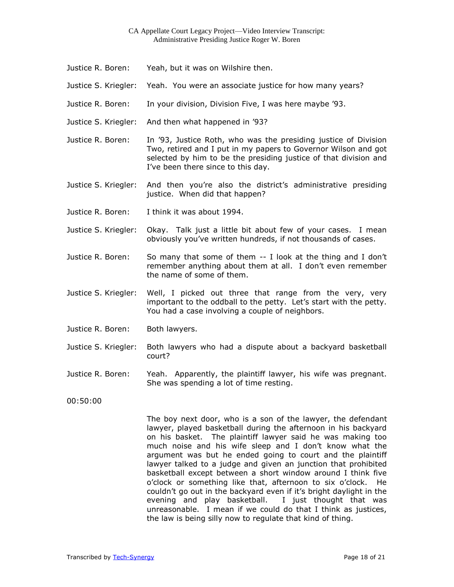- Justice R. Boren: Yeah, but it was on Wilshire then.
- Justice S. Kriegler: Yeah. You were an associate justice for how many years?
- Justice R. Boren: In your division, Division Five, I was here maybe '93.
- Justice S. Kriegler: And then what happened in '93?
- Justice R. Boren: In '93, Justice Roth, who was the presiding justice of Division Two, retired and I put in my papers to Governor Wilson and got selected by him to be the presiding justice of that division and I've been there since to this day.
- Justice S. Kriegler: And then you're also the district's administrative presiding justice. When did that happen?
- Justice R. Boren: I think it was about 1994.
- Justice S. Kriegler: Okay. Talk just a little bit about few of your cases. I mean obviously you've written hundreds, if not thousands of cases.
- Justice R. Boren: So many that some of them -- I look at the thing and I don't remember anything about them at all. I don't even remember the name of some of them.
- Justice S. Kriegler: Well, I picked out three that range from the very, very important to the oddball to the petty. Let's start with the petty. You had a case involving a couple of neighbors.
- Justice R. Boren: Both lawyers.
- Justice S. Kriegler: Both lawyers who had a dispute about a backyard basketball court?
- Justice R. Boren: Yeah. Apparently, the plaintiff lawyer, his wife was pregnant. She was spending a lot of time resting.

00:50:00

The boy next door, who is a son of the lawyer, the defendant lawyer, played basketball during the afternoon in his backyard on his basket. The plaintiff lawyer said he was making too much noise and his wife sleep and I don't know what the argument was but he ended going to court and the plaintiff lawyer talked to a judge and given an junction that prohibited basketball except between a short window around I think five o'clock or something like that, afternoon to six o'clock. He couldn't go out in the backyard even if it's bright daylight in the evening and play basketball. I just thought that was unreasonable. I mean if we could do that I think as justices, the law is being silly now to regulate that kind of thing.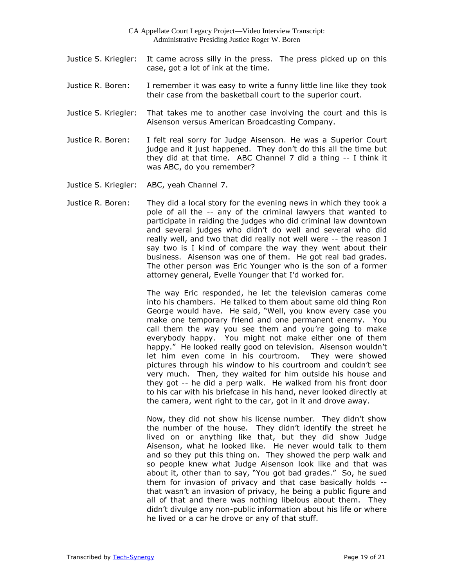- Justice S. Kriegler: It came across silly in the press. The press picked up on this case, got a lot of ink at the time.
- Justice R. Boren: I remember it was easy to write a funny little line like they took their case from the basketball court to the superior court.
- Justice S. Kriegler: That takes me to another case involving the court and this is Aisenson versus American Broadcasting Company.
- Justice R. Boren: I felt real sorry for Judge Aisenson. He was a Superior Court judge and it just happened. They don't do this all the time but they did at that time. ABC Channel 7 did a thing -- I think it was ABC, do you remember?
- Justice S. Kriegler: ABC, yeah Channel 7.
- Justice R. Boren: They did a local story for the evening news in which they took a pole of all the -- any of the criminal lawyers that wanted to participate in raiding the judges who did criminal law downtown and several judges who didn't do well and several who did really well, and two that did really not well were -- the reason I say two is I kind of compare the way they went about their business. Aisenson was one of them. He got real bad grades. The other person was Eric Younger who is the son of a former attorney general, Evelle Younger that I'd worked for.

The way Eric responded, he let the television cameras come into his chambers. He talked to them about same old thing Ron George would have. He said, "Well, you know every case you make one temporary friend and one permanent enemy. You call them the way you see them and you're going to make everybody happy. You might not make either one of them happy." He looked really good on television. Aisenson wouldn't let him even come in his courtroom. They were showed pictures through his window to his courtroom and couldn't see very much. Then, they waited for him outside his house and they got -- he did a perp walk. He walked from his front door to his car with his briefcase in his hand, never looked directly at the camera, went right to the car, got in it and drove away.

Now, they did not show his license number. They didn't show the number of the house. They didn't identify the street he lived on or anything like that, but they did show Judge Aisenson, what he looked like. He never would talk to them and so they put this thing on. They showed the perp walk and so people knew what Judge Aisenson look like and that was about it, other than to say, "You got bad grades." So, he sued them for invasion of privacy and that case basically holds - that wasn't an invasion of privacy, he being a public figure and all of that and there was nothing libelous about them. They didn't divulge any non-public information about his life or where he lived or a car he drove or any of that stuff.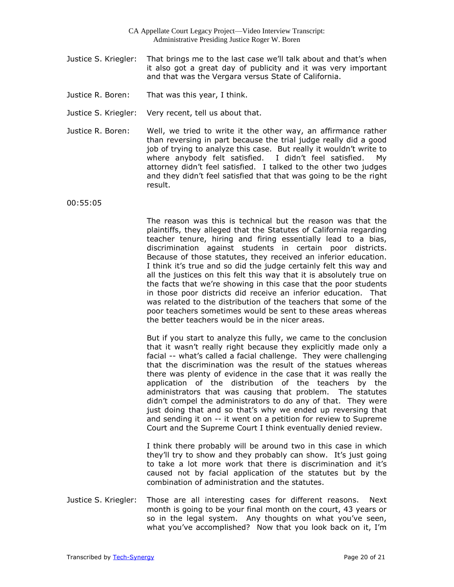- Justice S. Kriegler: That brings me to the last case we'll talk about and that's when it also got a great day of publicity and it was very important and that was the Vergara versus State of California.
- Justice R. Boren: That was this year, I think.
- Justice S. Kriegler: Very recent, tell us about that.
- Justice R. Boren: Well, we tried to write it the other way, an affirmance rather than reversing in part because the trial judge really did a good job of trying to analyze this case. But really it wouldn't write to where anybody felt satisfied. I didn't feel satisfied. My attorney didn't feel satisfied. I talked to the other two judges and they didn't feel satisfied that that was going to be the right result.

00:55:05

The reason was this is technical but the reason was that the plaintiffs, they alleged that the Statutes of California regarding teacher tenure, hiring and firing essentially lead to a bias, discrimination against students in certain poor districts. Because of those statutes, they received an inferior education. I think it's true and so did the judge certainly felt this way and all the justices on this felt this way that it is absolutely true on the facts that we're showing in this case that the poor students in those poor districts did receive an inferior education. That was related to the distribution of the teachers that some of the poor teachers sometimes would be sent to these areas whereas the better teachers would be in the nicer areas.

But if you start to analyze this fully, we came to the conclusion that it wasn't really right because they explicitly made only a facial -- what's called a facial challenge. They were challenging that the discrimination was the result of the statues whereas there was plenty of evidence in the case that it was really the application of the distribution of the teachers by the administrators that was causing that problem. The statutes didn't compel the administrators to do any of that. They were just doing that and so that's why we ended up reversing that and sending it on -- it went on a petition for review to Supreme Court and the Supreme Court I think eventually denied review.

I think there probably will be around two in this case in which they'll try to show and they probably can show. It's just going to take a lot more work that there is discrimination and it's caused not by facial application of the statutes but by the combination of administration and the statutes.

Justice S. Kriegler: Those are all interesting cases for different reasons. Next month is going to be your final month on the court, 43 years or so in the legal system. Any thoughts on what you've seen, what you've accomplished? Now that you look back on it, I'm